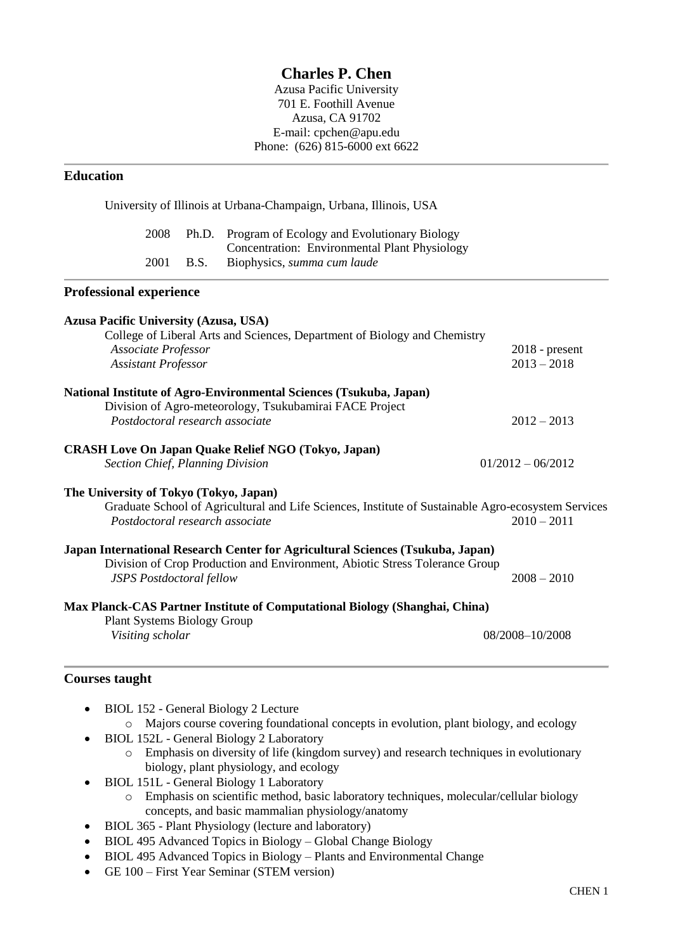# **Charles P. Chen**

Azusa Pacific University 701 E. Foothill Avenue Azusa, CA 91702 E-mail: cpchen@apu.edu Phone: (626) 815-6000 ext 6622

## **Education**

|                                                   |                                   | University of Illinois at Urbana-Champaign, Urbana, Illinois, USA                                   |                 |
|---------------------------------------------------|-----------------------------------|-----------------------------------------------------------------------------------------------------|-----------------|
| 2008                                              | Ph.D.                             | Program of Ecology and Evolutionary Biology<br>Concentration: Environmental Plant Physiology        |                 |
| 2001                                              | B.S.                              | Biophysics, summa cum laude                                                                         |                 |
| <b>Professional experience</b>                    |                                   |                                                                                                     |                 |
| <b>Azusa Pacific University (Azusa, USA)</b>      |                                   |                                                                                                     |                 |
|                                                   |                                   | College of Liberal Arts and Sciences, Department of Biology and Chemistry                           |                 |
| Associate Professor<br><b>Assistant Professor</b> | $2018$ - present<br>$2013 - 2018$ |                                                                                                     |                 |
|                                                   |                                   | National Institute of Agro-Environmental Sciences (Tsukuba, Japan)                                  |                 |
| Postdoctoral research associate                   |                                   | Division of Agro-meteorology, Tsukubamirai FACE Project                                             | $2012 - 2013$   |
|                                                   |                                   | <b>CRASH Love On Japan Quake Relief NGO (Tokyo, Japan)</b>                                          |                 |
| <b>Section Chief, Planning Division</b>           | $01/2012 - 06/2012$               |                                                                                                     |                 |
| The University of Tokyo (Tokyo, Japan)            |                                   |                                                                                                     |                 |
|                                                   |                                   | Graduate School of Agricultural and Life Sciences, Institute of Sustainable Agro-ecosystem Services |                 |
| Postdoctoral research associate                   |                                   |                                                                                                     | $2010 - 2011$   |
|                                                   |                                   | Japan International Research Center for Agricultural Sciences (Tsukuba, Japan)                      |                 |
| <b>JSPS</b> Postdoctoral fellow                   |                                   | Division of Crop Production and Environment, Abiotic Stress Tolerance Group                         | $2008 - 2010$   |
|                                                   |                                   | Max Planck-CAS Partner Institute of Computational Biology (Shanghai, China)                         |                 |
| <b>Plant Systems Biology Group</b>                |                                   |                                                                                                     |                 |
| Visiting scholar                                  |                                   |                                                                                                     | 08/2008-10/2008 |
|                                                   |                                   |                                                                                                     |                 |

## **Courses taught**

|  | • BIOL 152 - General Biology 2 Lecture                                                |
|--|---------------------------------------------------------------------------------------|
|  | Majors course covering foundational concepts in evolution, plant biology, and ecology |

- BIOL 152L General Biology 2 Laboratory
	- o Emphasis on diversity of life (kingdom survey) and research techniques in evolutionary biology, plant physiology, and ecology
- BIOL 151L General Biology 1 Laboratory
	- o Emphasis on scientific method, basic laboratory techniques, molecular/cellular biology concepts, and basic mammalian physiology/anatomy
- BIOL 365 Plant Physiology (lecture and laboratory)
- BIOL 495 Advanced Topics in Biology Global Change Biology
- BIOL 495 Advanced Topics in Biology Plants and Environmental Change
- GE 100 First Year Seminar (STEM version)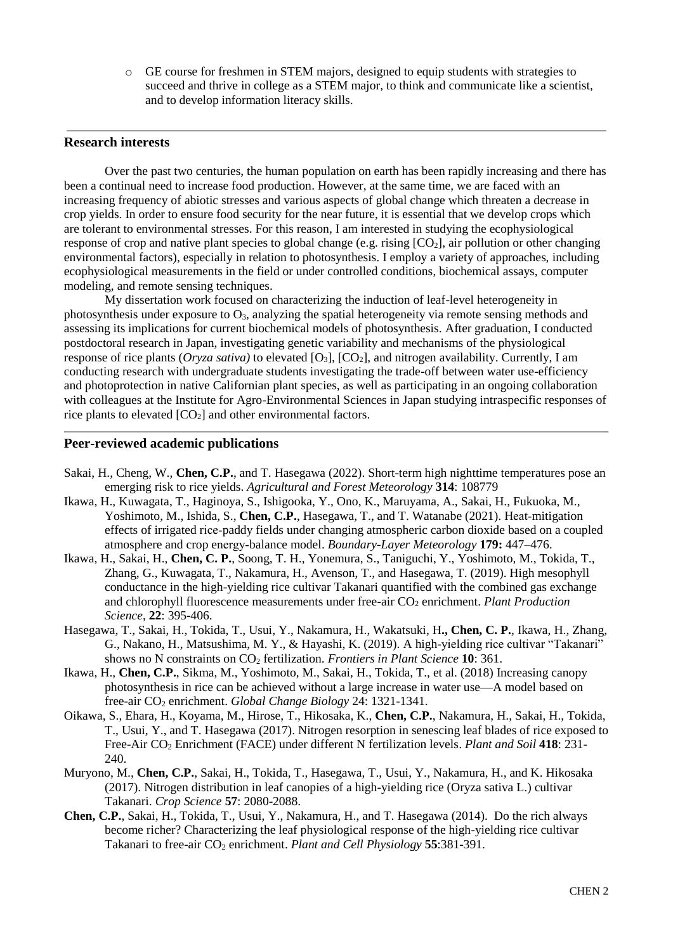o GE course for freshmen in STEM majors, designed to equip students with strategies to succeed and thrive in college as a STEM major, to think and communicate like a scientist, and to develop information literacy skills.

## **Research interests**

Over the past two centuries, the human population on earth has been rapidly increasing and there has been a continual need to increase food production. However, at the same time, we are faced with an increasing frequency of abiotic stresses and various aspects of global change which threaten a decrease in crop yields. In order to ensure food security for the near future, it is essential that we develop crops which are tolerant to environmental stresses. For this reason, I am interested in studying the ecophysiological response of crop and native plant species to global change (e.g. rising  $[CO_2]$ , air pollution or other changing environmental factors), especially in relation to photosynthesis. I employ a variety of approaches, including ecophysiological measurements in the field or under controlled conditions, biochemical assays, computer modeling, and remote sensing techniques.

My dissertation work focused on characterizing the induction of leaf-level heterogeneity in photosynthesis under exposure to O3, analyzing the spatial heterogeneity via remote sensing methods and assessing its implications for current biochemical models of photosynthesis. After graduation, I conducted postdoctoral research in Japan, investigating genetic variability and mechanisms of the physiological response of rice plants (*Oryza sativa)* to elevated [O3], [CO2], and nitrogen availability. Currently, I am conducting research with undergraduate students investigating the trade-off between water use-efficiency and photoprotection in native Californian plant species, as well as participating in an ongoing collaboration with colleagues at the Institute for Agro-Environmental Sciences in Japan studying intraspecific responses of rice plants to elevated  $[CO<sub>2</sub>]$  and other environmental factors.

#### **Peer-reviewed academic publications**

- Sakai, H., Cheng, W., **Chen, C.P.**, and T. Hasegawa (2022). Short-term high nighttime temperatures pose an emerging risk to rice yields. *Agricultural and Forest Meteorology* **314**: 108779
- Ikawa, H., Kuwagata, T., Haginoya, S., Ishigooka, Y., Ono, K., Maruyama, A., Sakai, H., Fukuoka, M., Yoshimoto, M., Ishida, S., **Chen, C.P.**, Hasegawa, T., and T. Watanabe (2021). Heat-mitigation effects of irrigated rice‑paddy fields under changing atmospheric carbon dioxide based on a coupled atmosphere and crop energy‑balance model. *Boundary-Layer Meteorology* **179:** 447–476.
- Ikawa, H., Sakai, H., **Chen, C. P.**, Soong, T. H., Yonemura, S., Taniguchi, Y., Yoshimoto, M., Tokida, T., Zhang, G., Kuwagata, T., Nakamura, H., Avenson, T., and Hasegawa, T. (2019). High mesophyll conductance in the high-yielding rice cultivar Takanari quantified with the combined gas exchange and chlorophyll fluorescence measurements under free-air CO<sub>2</sub> enrichment. *Plant Production Science*, **22**: 395-406.
- Hasegawa, T., Sakai, H., Tokida, T., Usui, Y., Nakamura, H., Wakatsuki, H**., Chen, C. P.**, Ikawa, H., Zhang, G., Nakano, H., Matsushima, M. Y., & Hayashi, K. (2019). A high-yielding rice cultivar "Takanari" shows no N constraints on  $CO<sub>2</sub>$  fertilization. *Frontiers in Plant Science* 10: 361.
- Ikawa, H., **Chen, C.P.**, Sikma, M., Yoshimoto, M., Sakai, H., Tokida, T., et al. (2018) Increasing canopy photosynthesis in rice can be achieved without a large increase in water use—A model based on free-air CO<sup>2</sup> enrichment. *Global Change Biology* 24: 1321-1341.
- Oikawa, S., Ehara, H., Koyama, M., Hirose, T., Hikosaka, K., **Chen, C.P.**, Nakamura, H., Sakai, H., Tokida, T., Usui, Y., and T. Hasegawa (2017). Nitrogen resorption in senescing leaf blades of rice exposed to Free-Air CO<sup>2</sup> Enrichment (FACE) under different N fertilization levels. *Plant and Soil* **418**: 231- 240.
- Muryono, M., **Chen, C.P.**, Sakai, H., Tokida, T., Hasegawa, T., Usui, Y., Nakamura, H., and K. Hikosaka (2017). Nitrogen distribution in leaf canopies of a high-yielding rice (Oryza sativa L.) cultivar Takanari. *Crop Science* **57**: 2080-2088.
- **Chen, C.P.**, Sakai, H., Tokida, T., Usui, Y., Nakamura, H., and T. Hasegawa (2014).Do the rich always become richer? Characterizing the leaf physiological response of the high-yielding rice cultivar Takanari to free-air CO<sub>2</sub> enrichment. *Plant and Cell Physiology* **55**:381-391.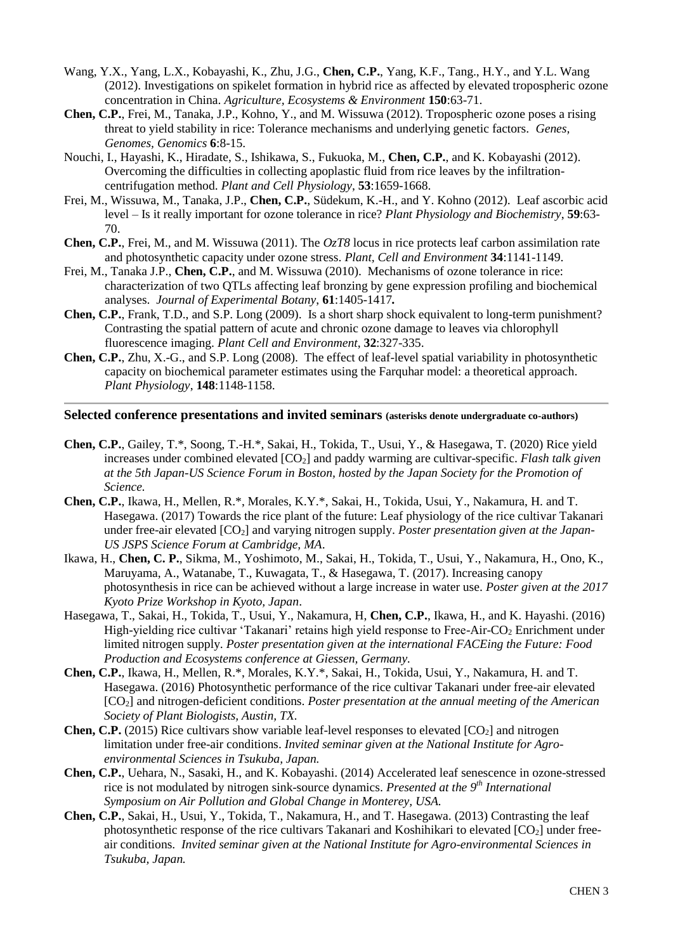- Wang, Y.X., Yang, L.X., Kobayashi, K., Zhu, J.G., **Chen, C.P.**, Yang, K.F., Tang., H.Y., and Y.L. Wang (2012). Investigations on spikelet formation in hybrid rice as affected by elevated tropospheric ozone concentration in China. *Agriculture, Ecosystems & Environment* **150**:63-71.
- **Chen, C.P.**, Frei, M., Tanaka, J.P., Kohno, Y., and M. Wissuwa (2012). Tropospheric ozone poses a rising threat to yield stability in rice: Tolerance mechanisms and underlying genetic factors. *Genes, Genomes, Genomics* **6**:8-15.
- Nouchi, I., Hayashi, K., Hiradate, S., Ishikawa, S., Fukuoka, M., **Chen, C.P.**, and K. Kobayashi (2012). Overcoming the difficulties in collecting apoplastic fluid from rice leaves by the infiltrationcentrifugation method. *Plant and Cell Physiology*, **53**:1659-1668.
- Frei, M., Wissuwa, M., Tanaka, J.P., **Chen, C.P.**, Südekum, K.-H., and Y. Kohno (2012). Leaf ascorbic acid level – Is it really important for ozone tolerance in rice? *Plant Physiology and Biochemistry*, **59**:63- 70.
- **Chen, C.P.**, Frei, M., and M. Wissuwa (2011). The *OzT8* locus in rice protects leaf carbon assimilation rate and photosynthetic capacity under ozone stress. *Plant, Cell and Environment* **34**:1141-1149.
- Frei, M., Tanaka J.P., **Chen, C.P.**, and M. Wissuwa (2010). Mechanisms of ozone tolerance in rice: characterization of two QTLs affecting leaf bronzing by gene expression profiling and biochemical analyses. *Journal of Experimental Botany*, **61**:1405-1417*.*
- **Chen, C.P.**, Frank, T.D., and S.P. Long (2009). Is a short sharp shock equivalent to long-term punishment? Contrasting the spatial pattern of acute and chronic ozone damage to leaves via chlorophyll fluorescence imaging. *Plant Cell and Environment*, **32**:327-335.
- **Chen, C.P.**, Zhu, X.-G., and S.P. Long (2008). The effect of leaf-level spatial variability in photosynthetic capacity on biochemical parameter estimates using the Farquhar model: a theoretical approach. *Plant Physiology*, **148**:1148-1158.

## **Selected conference presentations and invited seminars (asterisks denote undergraduate co-authors)**

- **Chen, C.P.**, Gailey, T.\*, Soong, T.-H.\*, Sakai, H., Tokida, T., Usui, Y., & Hasegawa, T. (2020) Rice yield increases under combined elevated [CO2] and paddy warming are cultivar-specific. *Flash talk given at the 5th Japan-US Science Forum in Boston, hosted by the Japan Society for the Promotion of Science.*
- **Chen, C.P.**, Ikawa, H., Mellen, R.\*, Morales, K.Y.\*, Sakai, H., Tokida, Usui, Y., Nakamura, H. and T. Hasegawa. (2017) Towards the rice plant of the future: Leaf physiology of the rice cultivar Takanari under free-air elevated [CO2] and varying nitrogen supply. *Poster presentation given at the Japan-US JSPS Science Forum at Cambridge, MA*.
- Ikawa, H., **Chen, C. P.**, Sikma, M., Yoshimoto, M., Sakai, H., Tokida, T., Usui, Y., Nakamura, H., Ono, K., Maruyama, A., Watanabe, T., Kuwagata, T., & Hasegawa, T. (2017). Increasing canopy photosynthesis in rice can be achieved without a large increase in water use. *Poster given at the 2017 Kyoto Prize Workshop in Kyoto, Japan*.
- Hasegawa, T., Sakai, H., Tokida, T., Usui, Y., Nakamura, H, **Chen, C.P.**, Ikawa, H., and K. Hayashi. (2016) High-yielding rice cultivar 'Takanari' retains high yield response to Free-Air-CO<sub>2</sub> Enrichment under limited nitrogen supply. *Poster presentation given at the international FACEing the Future: Food Production and Ecosystems conference at Giessen, Germany.*
- **Chen, C.P.**, Ikawa, H., Mellen, R.\*, Morales, K.Y.\*, Sakai, H., Tokida, Usui, Y., Nakamura, H. and T. Hasegawa. (2016) Photosynthetic performance of the rice cultivar Takanari under free-air elevated [CO2] and nitrogen-deficient conditions. *Poster presentation at the annual meeting of the American Society of Plant Biologists, Austin, TX.*
- **Chen, C.P.** (2015) Rice cultivars show variable leaf-level responses to elevated  $[CO_2]$  and nitrogen limitation under free-air conditions. *Invited seminar given at the National Institute for Agroenvironmental Sciences in Tsukuba, Japan.*
- **Chen, C.P.**, Uehara, N., Sasaki, H., and K. Kobayashi. (2014) Accelerated leaf senescence in ozone-stressed rice is not modulated by nitrogen sink-source dynamics. *Presented at the 9th International Symposium on Air Pollution and Global Change in Monterey, USA.*
- **Chen, C.P.**, Sakai, H., Usui, Y., Tokida, T., Nakamura, H., and T. Hasegawa. (2013) Contrasting the leaf photosynthetic response of the rice cultivars Takanari and Koshihikari to elevated  $[CO<sub>2</sub>]$  under freeair conditions. *Invited seminar given at the National Institute for Agro-environmental Sciences in Tsukuba, Japan.*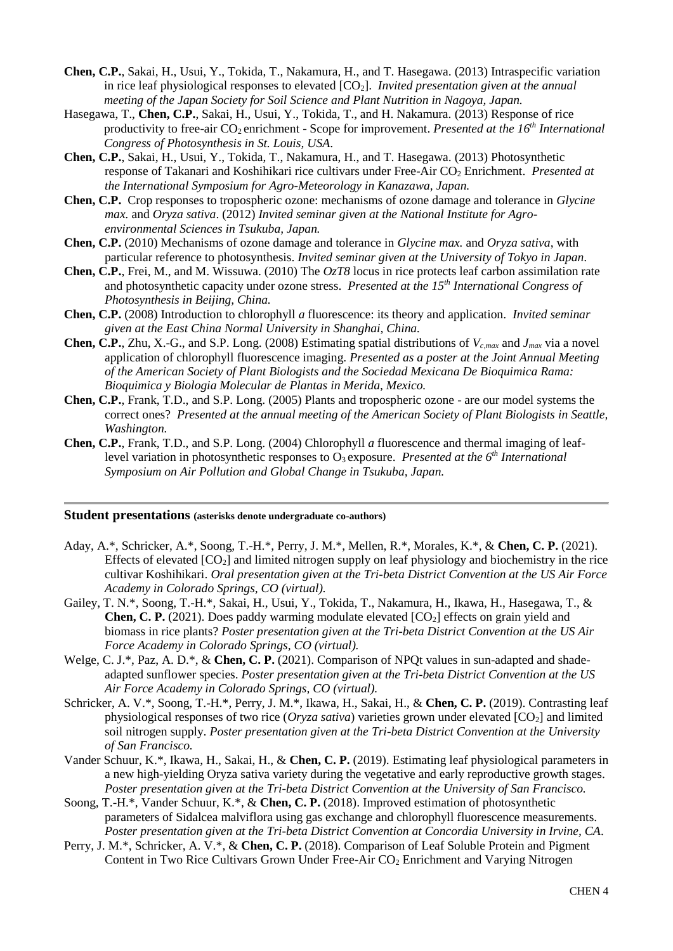- **Chen, C.P.**, Sakai, H., Usui, Y., Tokida, T., Nakamura, H., and T. Hasegawa. (2013) Intraspecific variation in rice leaf physiological responses to elevated [CO2]. *Invited presentation given at the annual meeting of the Japan Society for Soil Science and Plant Nutrition in Nagoya, Japan.*
- Hasegawa, T., **Chen, C.P.**, Sakai, H., Usui, Y., Tokida, T., and H. Nakamura. (2013) Response of rice productivity to free-air CO2 enrichment - Scope for improvement. *Presented at the 16th International Congress of Photosynthesis in St. Louis, USA*.
- **Chen, C.P.**, Sakai, H., Usui, Y., Tokida, T., Nakamura, H., and T. Hasegawa. (2013) Photosynthetic response of Takanari and Koshihikari rice cultivars under Free-Air CO<sup>2</sup> Enrichment. *Presented at the International Symposium for Agro-Meteorology in Kanazawa, Japan.*
- **Chen, C.P.** Crop responses to tropospheric ozone: mechanisms of ozone damage and tolerance in *Glycine max.* and *Oryza sativa*. (2012) *Invited seminar given at the National Institute for Agroenvironmental Sciences in Tsukuba, Japan.*
- **Chen, C.P.** (2010) Mechanisms of ozone damage and tolerance in *Glycine max.* and *Oryza sativa*, with particular reference to photosynthesis. *Invited seminar given at the University of Tokyo in Japan.*
- **Chen, C.P.**, Frei, M., and M. Wissuwa. (2010) The *OzT8* locus in rice protects leaf carbon assimilation rate and photosynthetic capacity under ozone stress. *Presented at the 15th International Congress of Photosynthesis in Beijing, China.*
- **Chen, C.P.** (2008) Introduction to chlorophyll *a* fluorescence: its theory and application. *Invited seminar given at the East China Normal University in Shanghai, China.*
- **Chen, C.P.**, Zhu, X.-G., and S.P. Long. (2008) Estimating spatial distributions of *Vc,max* and *Jmax* via a novel application of chlorophyll fluorescence imaging. *Presented as a poster at the Joint Annual Meeting of the American Society of Plant Biologists and the Sociedad Mexicana De Bioquimica Rama: Bioquimica y Biologia Molecular de Plantas in Merida, Mexico.*
- **Chen, C.P.**, Frank, T.D., and S.P. Long. (2005) Plants and tropospheric ozone are our model systems the correct ones? *Presented at the annual meeting of the American Society of Plant Biologists in Seattle, Washington.*
- **Chen, C.P.**, Frank, T.D., and S.P. Long. (2004) Chlorophyll *a* fluorescence and thermal imaging of leaflevel variation in photosynthetic responses to O3 exposure. *Presented at the 6th International Symposium on Air Pollution and Global Change in Tsukuba, Japan.*

## **Student presentations (asterisks denote undergraduate co-authors)**

- Aday, A.\*, Schricker, A.\*, Soong, T.-H.\*, Perry, J. M.\*, Mellen, R.\*, Morales, K.\*, & **Chen, C. P.** (2021). Effects of elevated  $[CO_2]$  and limited nitrogen supply on leaf physiology and biochemistry in the rice cultivar Koshihikari. *Oral presentation given at the Tri-beta District Convention at the US Air Force Academy in Colorado Springs, CO (virtual).*
- Gailey, T. N.\*, Soong, T.-H.\*, Sakai, H., Usui, Y., Tokida, T., Nakamura, H., Ikawa, H., Hasegawa, T., & **Chen, C. P.** (2021). Does paddy warming modulate elevated [CO<sub>2</sub>] effects on grain yield and biomass in rice plants? *Poster presentation given at the Tri-beta District Convention at the US Air Force Academy in Colorado Springs, CO (virtual).*
- Welge, C. J.\*, Paz, A. D.\*, & **Chen, C. P.** (2021). Comparison of NPQt values in sun-adapted and shadeadapted sunflower species. *Poster presentation given at the Tri-beta District Convention at the US Air Force Academy in Colorado Springs, CO (virtual).*
- Schricker, A. V.\*, Soong, T.-H.\*, Perry, J. M.\*, Ikawa, H., Sakai, H., & **Chen, C. P.** (2019). Contrasting leaf physiological responses of two rice (*Oryza sativa*) varieties grown under elevated [CO2] and limited soil nitrogen supply. *Poster presentation given at the Tri-beta District Convention at the University of San Francisco.*
- Vander Schuur, K.\*, Ikawa, H., Sakai, H., & **Chen, C. P.** (2019). Estimating leaf physiological parameters in a new high-yielding Oryza sativa variety during the vegetative and early reproductive growth stages. *Poster presentation given at the Tri-beta District Convention at the University of San Francisco.*
- Soong, T.-H.\*, Vander Schuur, K.\*, & **Chen, C. P.** (2018). Improved estimation of photosynthetic parameters of Sidalcea malviflora using gas exchange and chlorophyll fluorescence measurements. *Poster presentation given at the Tri-beta District Convention at Concordia University in Irvine, CA*.
- Perry, J. M.\*, Schricker, A. V.\*, & **Chen, C. P.** (2018). Comparison of Leaf Soluble Protein and Pigment Content in Two Rice Cultivars Grown Under Free-Air CO<sub>2</sub> Enrichment and Varying Nitrogen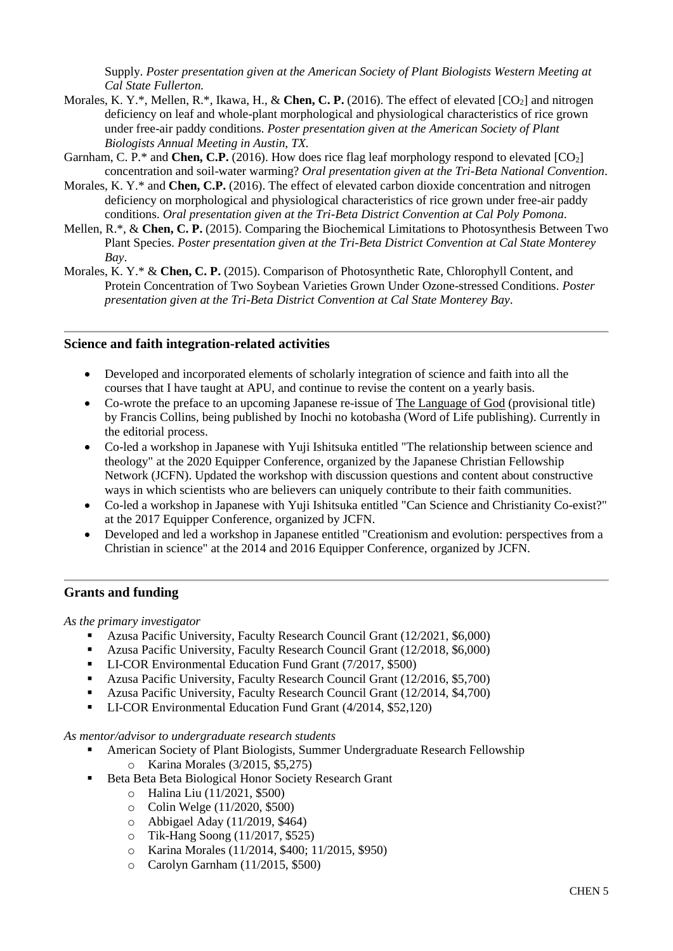Supply. *Poster presentation given at the American Society of Plant Biologists Western Meeting at Cal State Fullerton.*

- Morales, K. Y.\*, Mellen, R.\*, Ikawa, H., & **Chen, C. P.** (2016). The effect of elevated [CO<sub>2</sub>] and nitrogen deficiency on leaf and whole-plant morphological and physiological characteristics of rice grown under free-air paddy conditions. *Poster presentation given at the American Society of Plant Biologists Annual Meeting in Austin, TX.*
- Garnham, C. P.<sup>\*</sup> and **Chen, C.P.** (2016). How does rice flag leaf morphology respond to elevated  $[CO_2]$ concentration and soil-water warming? *Oral presentation given at the Tri-Beta National Convention*.
- Morales, K. Y.\* and **Chen, C.P.** (2016). The effect of elevated carbon dioxide concentration and nitrogen deficiency on morphological and physiological characteristics of rice grown under free-air paddy conditions. *Oral presentation given at the Tri-Beta District Convention at Cal Poly Pomona*.
- Mellen, R.\*, & **Chen, C. P.** (2015). Comparing the Biochemical Limitations to Photosynthesis Between Two Plant Species. *Poster presentation given at the Tri-Beta District Convention at Cal State Monterey Bay*.
- Morales, K. Y.\* & **Chen, C. P.** (2015). Comparison of Photosynthetic Rate, Chlorophyll Content, and Protein Concentration of Two Soybean Varieties Grown Under Ozone-stressed Conditions. *Poster presentation given at the Tri-Beta District Convention at Cal State Monterey Bay*.

## **Science and faith integration-related activities**

- Developed and incorporated elements of scholarly integration of science and faith into all the courses that I have taught at APU, and continue to revise the content on a yearly basis.
- Co-wrote the preface to an upcoming Japanese re-issue of The Language of God (provisional title) by Francis Collins, being published by Inochi no kotobasha (Word of Life publishing). Currently in the editorial process.
- Co-led a workshop in Japanese with Yuji Ishitsuka entitled "The relationship between science and theology" at the 2020 Equipper Conference, organized by the Japanese Christian Fellowship Network (JCFN). Updated the workshop with discussion questions and content about constructive ways in which scientists who are believers can uniquely contribute to their faith communities.
- Co-led a workshop in Japanese with Yuji Ishitsuka entitled "Can Science and Christianity Co-exist?" at the 2017 Equipper Conference, organized by JCFN.
- Developed and led a workshop in Japanese entitled "Creationism and evolution: perspectives from a Christian in science" at the 2014 and 2016 Equipper Conference, organized by JCFN.

## **Grants and funding**

*As the primary investigator*

- Azusa Pacific University, Faculty Research Council Grant (12/2021, \$6,000)
- Azusa Pacific University, Faculty Research Council Grant (12/2018, \$6,000)
- LI-COR Environmental Education Fund Grant (7/2017, \$500)
- Azusa Pacific University, Faculty Research Council Grant (12/2016, \$5,700)
- Azusa Pacific University, Faculty Research Council Grant (12/2014, \$4,700)
- LI-COR Environmental Education Fund Grant (4/2014, \$52,120)

*As mentor/advisor to undergraduate research students*

- American Society of Plant Biologists, Summer Undergraduate Research Fellowship o Karina Morales (3/2015, \$5,275)
- Beta Beta Biological Honor Society Research Grant
	- o Halina Liu (11/2021, \$500)
	- o Colin Welge (11/2020, \$500)
	- o Abbigael Aday (11/2019, \$464)
	- o Tik-Hang Soong (11/2017, \$525)
	- o Karina Morales (11/2014, \$400; 11/2015, \$950)
	- o Carolyn Garnham (11/2015, \$500)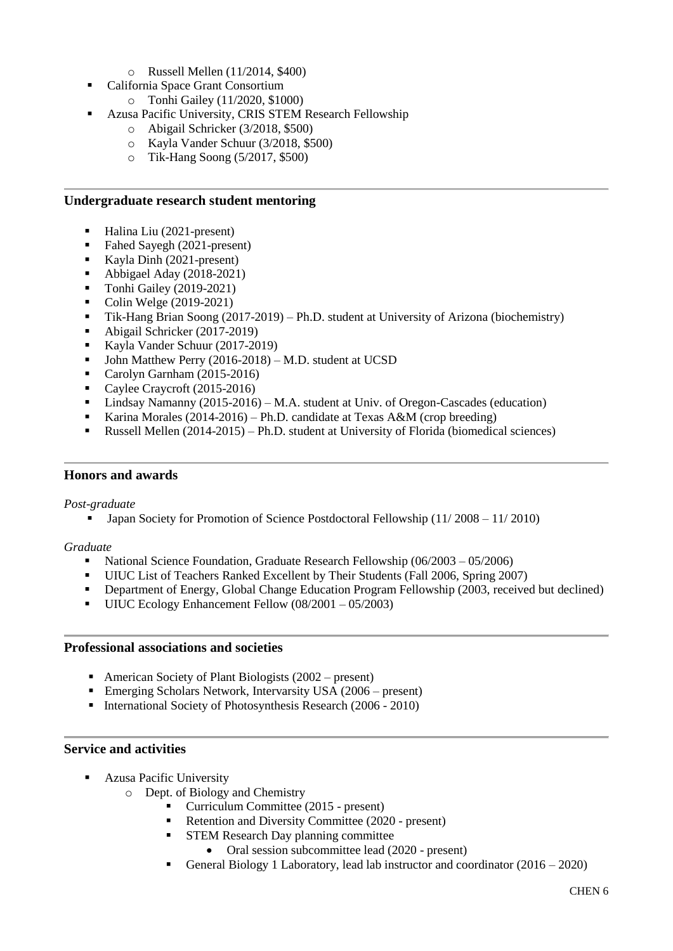- o Russell Mellen (11/2014, \$400)
- California Space Grant Consortium
	- o Tonhi Gailey (11/2020, \$1000)
	- Azusa Pacific University, CRIS STEM Research Fellowship
		- o Abigail Schricker (3/2018, \$500)
		- o Kayla Vander Schuur (3/2018, \$500)
		- o Tik-Hang Soong (5/2017, \$500)

## **Undergraduate research student mentoring**

- Halina Liu (2021-present)
- Fahed Sayegh (2021-present)
- Kayla Dinh (2021-present)
- Abbigael Aday (2018-2021)
- Tonhi Gailey (2019-2021)
- Colin Welge (2019-2021)
- Tik-Hang Brian Soong (2017-2019) Ph.D. student at University of Arizona (biochemistry)
- Abigail Schricker (2017-2019)
- Kayla Vander Schuur (2017-2019)
- John Matthew Perry (2016-2018) M.D. student at UCSD
- Carolyn Garnham (2015-2016)
- Caylee Craycroft (2015-2016)
- **•** Lindsay Namanny  $(2015-2016) M.A.$  student at Univ. of Oregon-Cascades (education)
- Karina Morales (2014-2016) Ph.D. candidate at Texas A&M (crop breeding)
- Russell Mellen (2014-2015) Ph.D. student at University of Florida (biomedical sciences)

## **Honors and awards**

#### *Post-graduate*

■ Japan Society for Promotion of Science Postdoctoral Fellowship (11/ 2008 – 11/ 2010)

## *Graduate*

- National Science Foundation, Graduate Research Fellowship (06/2003 05/2006)
- UIUC List of Teachers Ranked Excellent by Their Students (Fall 2006, Spring 2007)<br>■ Department of Energy Global Change Education Program Fellowship (2003, receive
- Department of Energy, Global Change Education Program Fellowship (2003, received but declined)
- UIUC Ecology Enhancement Fellow (08/2001 05/2003)

## **Professional associations and societies**

- **•** American Society of Plant Biologists  $(2002 \text{present})$
- **Emerging Scholars Network, Intervarsity USA (2006 present)**
- **•** International Society of Photosynthesis Research (2006 2010)

## **Service and activities**

- Azusa Pacific University
	- o Dept. of Biology and Chemistry
		- Curriculum Committee (2015 present)
		- Retention and Diversity Committee (2020 present)
		- **STEM Research Day planning committee** 
			- Oral session subcommittee lead (2020 present)
		- General Biology 1 Laboratory, lead lab instructor and coordinator (2016 2020)